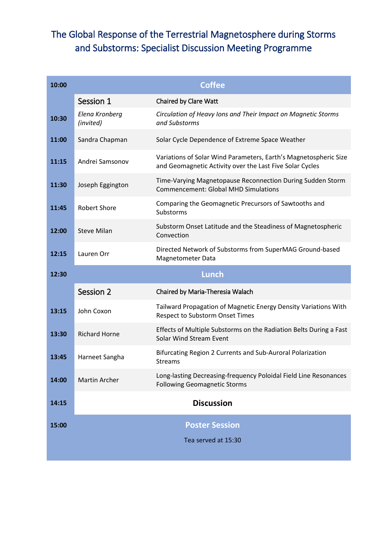## The Global Response of the Terrestrial Magnetosphere during Storms and Substorms: Specialist Discussion Meeting Programme

| 10:00 | <b>Coffee</b>               |                                                                                                                              |  |
|-------|-----------------------------|------------------------------------------------------------------------------------------------------------------------------|--|
|       | Session 1                   | <b>Chaired by Clare Watt</b>                                                                                                 |  |
| 10:30 | Elena Kronberg<br>(invited) | Circulation of Heavy Ions and Their Impact on Magnetic Storms<br>and Substorms                                               |  |
| 11:00 | Sandra Chapman              | Solar Cycle Dependence of Extreme Space Weather                                                                              |  |
| 11:15 | Andrei Samsonov             | Variations of Solar Wind Parameters, Earth's Magnetospheric Size<br>and Geomagnetic Activity over the Last Five Solar Cycles |  |
| 11:30 | Joseph Eggington            | Time-Varying Magnetopause Reconnection During Sudden Storm<br><b>Commencement: Global MHD Simulations</b>                    |  |
| 11:45 | <b>Robert Shore</b>         | Comparing the Geomagnetic Precursors of Sawtooths and<br>Substorms                                                           |  |
| 12:00 | <b>Steve Milan</b>          | Substorm Onset Latitude and the Steadiness of Magnetospheric<br>Convection                                                   |  |
| 12:15 | Lauren Orr                  | Directed Network of Substorms from SuperMAG Ground-based<br><b>Magnetometer Data</b>                                         |  |
| 12:30 |                             |                                                                                                                              |  |
|       |                             | <b>Lunch</b>                                                                                                                 |  |
|       | Session 2                   | Chaired by Maria-Theresia Walach                                                                                             |  |
| 13:15 | John Coxon                  | Tailward Propagation of Magnetic Energy Density Variations With<br>Respect to Substorm Onset Times                           |  |
| 13:30 | <b>Richard Horne</b>        | Effects of Multiple Substorms on the Radiation Belts During a Fast<br>Solar Wind Stream Event                                |  |
| 13:45 | Harneet Sangha              | Bifurcating Region 2 Currents and Sub-Auroral Polarization<br><b>Streams</b>                                                 |  |
| 14:00 | <b>Martin Archer</b>        | Long-lasting Decreasing-frequency Poloidal Field Line Resonances<br><b>Following Geomagnetic Storms</b>                      |  |
| 14:15 |                             | <b>Discussion</b>                                                                                                            |  |
| 15:00 |                             | <b>Poster Session</b>                                                                                                        |  |